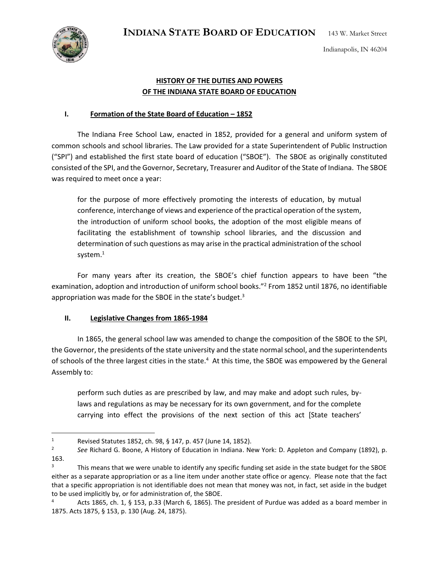**INDIANA STATE BOARD OF EDUCATION** 143 W. Market Street





 $\overline{\phantom{a}}$ 

## **HISTORY OF THE DUTIES AND POWERS OF THE INDIANA STATE BOARD OF EDUCATION**

## **I. Formation of the State Board of Education – 1852**

The Indiana Free School Law, enacted in 1852, provided for a general and uniform system of common schools and school libraries. The Law provided for a state Superintendent of Public Instruction ("SPI") and established the first state board of education ("SBOE"). The SBOE as originally constituted consisted of the SPI, and the Governor, Secretary, Treasurer and Auditor of the State of Indiana. The SBOE was required to meet once a year:

for the purpose of more effectively promoting the interests of education, by mutual conference, interchange of views and experience of the practical operation of the system, the introduction of uniform school books, the adoption of the most eligible means of facilitating the establishment of township school libraries, and the discussion and determination of such questions as may arise in the practical administration of the school system. $1$ 

For many years after its creation, the SBOE's chief function appears to have been "the examination, adoption and introduction of uniform school books."<sup>2</sup> From 1852 until 1876, no identifiable appropriation was made for the SBOE in the state's budget.<sup>3</sup>

## **II. Legislative Changes from 1865-1984**

In 1865, the general school law was amended to change the composition of the SBOE to the SPI, the Governor, the presidents of the state university and the state normal school, and the superintendents of schools of the three largest cities in the state.<sup>4</sup> At this time, the SBOE was empowered by the General Assembly to:

perform such duties as are prescribed by law, and may make and adopt such rules, bylaws and regulations as may be necessary for its own government, and for the complete carrying into effect the provisions of the next section of this act [State teachers'

<sup>1</sup> Revised Statutes 1852, ch. 98, § 147, p. 457 (June 14, 1852).

<sup>2</sup> *See* Richard G. Boone, A History of Education in Indiana. New York: D. Appleton and Company (1892), p. 163.

<sup>&</sup>lt;sup>3</sup> This means that we were unable to identify any specific funding set aside in the state budget for the SBOE either as a separate appropriation or as a line item under another state office or agency. Please note that the fact that a specific appropriation is not identifiable does not mean that money was not, in fact, set aside in the budget to be used implicitly by, or for administration of, the SBOE.

<sup>4</sup> Acts 1865, ch. 1, § 153, p.33 (March 6, 1865). The president of Purdue was added as a board member in 1875. Acts 1875, § 153, p. 130 (Aug. 24, 1875).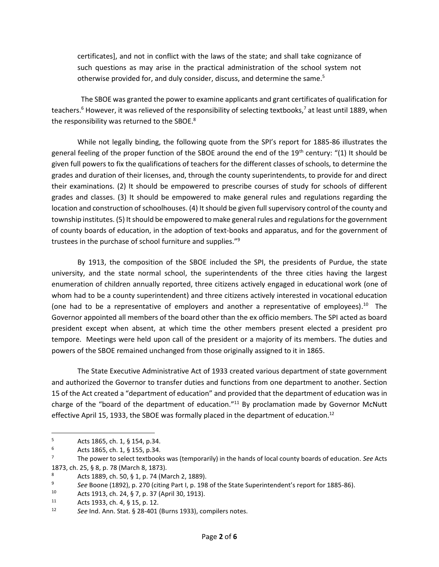certificates], and not in conflict with the laws of the state; and shall take cognizance of such questions as may arise in the practical administration of the school system not otherwise provided for, and duly consider, discuss, and determine the same.<sup>5</sup>

 The SBOE was granted the power to examine applicants and grant certificates of qualification for teachers.<sup>6</sup> However, it was relieved of the responsibility of selecting textbooks,<sup>7</sup> at least until 1889, when the responsibility was returned to the SBOE.<sup>8</sup>

While not legally binding, the following quote from the SPI's report for 1885-86 illustrates the general feeling of the proper function of the SBOE around the end of the 19<sup>th</sup> century: "(1) It should be given full powers to fix the qualifications of teachers for the different classes of schools, to determine the grades and duration of their licenses, and, through the county superintendents, to provide for and direct their examinations. (2) It should be empowered to prescribe courses of study for schools of different grades and classes. (3) It should be empowered to make general rules and regulations regarding the location and construction of schoolhouses. (4) It should be given full supervisory control of the county and township institutes. (5) It should be empowered to make general rules and regulations for the government of county boards of education, in the adoption of text-books and apparatus, and for the government of trustees in the purchase of school furniture and supplies." 9

By 1913, the composition of the SBOE included the SPI, the presidents of Purdue, the state university, and the state normal school, the superintendents of the three cities having the largest enumeration of children annually reported, three citizens actively engaged in educational work (one of whom had to be a county superintendent) and three citizens actively interested in vocational education (one had to be a representative of employers and another a representative of employees).<sup>10</sup> The Governor appointed all members of the board other than the ex officio members. The SPI acted as board president except when absent, at which time the other members present elected a president pro tempore. Meetings were held upon call of the president or a majority of its members. The duties and powers of the SBOE remained unchanged from those originally assigned to it in 1865.

The State Executive Administrative Act of 1933 created various department of state government and authorized the Governor to transfer duties and functions from one department to another. Section 15 of the Act created a "department of education" and provided that the department of education was in charge of the "board of the department of education."<sup>11</sup> By proclamation made by Governor McNutt effective April 15, 1933, the SBOE was formally placed in the department of education.<sup>12</sup>

<sup>5</sup> Acts 1865, ch. 1, § 154, p.34.

 $^{6}$  Acts 1865, ch. 1, § 155, p.34.<br><sup>7</sup> The nower to select textbook

<sup>7</sup> The power to select textbooks was (temporarily) in the hands of local county boards of education. *See* Acts 1873, ch. 25, § 8, p. 78 (March 8, 1873).

<sup>8</sup> Acts 1889, ch. 50, § 1, p. 74 (March 2, 1889).

<sup>9</sup> *See* Boone (1892), p. 270 (citing Part I, p. 198 of the State Superintendent's report for 1885-86).

<sup>10</sup> Acts 1913, ch. 24, § 7, p. 37 (April 30, 1913).<br>11 Acts 1933, ch. 4, § 15, p. 12

Acts 1933, ch. 4, § 15, p. 12.

<sup>12</sup> *See* Ind. Ann. Stat. § 28-401 (Burns 1933), compilers notes.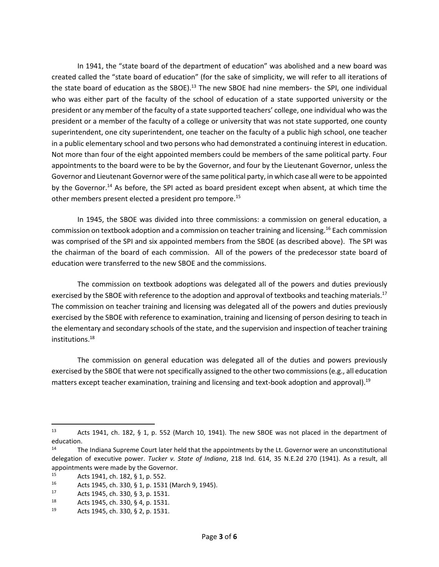In 1941, the "state board of the department of education" was abolished and a new board was created called the "state board of education" (for the sake of simplicity, we will refer to all iterations of the state board of education as the SBOE).<sup>13</sup> The new SBOE had nine members- the SPI, one individual who was either part of the faculty of the school of education of a state supported university or the president or any member of the faculty of a state supported teachers' college, one individual who was the president or a member of the faculty of a college or university that was not state supported, one county superintendent, one city superintendent, one teacher on the faculty of a public high school, one teacher in a public elementary school and two persons who had demonstrated a continuing interest in education. Not more than four of the eight appointed members could be members of the same political party. Four appointments to the board were to be by the Governor, and four by the Lieutenant Governor, unless the Governor and Lieutenant Governor were of the same political party, in which case all were to be appointed by the Governor.<sup>14</sup> As before, the SPI acted as board president except when absent, at which time the other members present elected a president pro tempore.<sup>15</sup>

In 1945, the SBOE was divided into three commissions: a commission on general education, a commission on textbook adoption and a commission on teacher training and licensing.<sup>16</sup> Each commission was comprised of the SPI and six appointed members from the SBOE (as described above). The SPI was the chairman of the board of each commission. All of the powers of the predecessor state board of education were transferred to the new SBOE and the commissions.

The commission on textbook adoptions was delegated all of the powers and duties previously exercised by the SBOE with reference to the adoption and approval of textbooks and teaching materials.<sup>17</sup> The commission on teacher training and licensing was delegated all of the powers and duties previously exercised by the SBOE with reference to examination, training and licensing of person desiring to teach in the elementary and secondary schools of the state, and the supervision and inspection of teacher training institutions.<sup>18</sup>

The commission on general education was delegated all of the duties and powers previously exercised by the SBOE that were not specifically assigned to the other two commissions (e.g., all education matters except teacher examination, training and licensing and text-book adoption and approval). 19

<sup>13</sup> Acts 1941, ch. 182, § 1, p. 552 (March 10, 1941). The new SBOE was not placed in the department of education.

<sup>&</sup>lt;sup>14</sup> The Indiana Supreme Court later held that the appointments by the Lt. Governor were an unconstitutional delegation of executive power. *Tucker v. State of Indiana*, 218 Ind. 614, 35 N.E.2d 270 (1941). As a result, all appointments were made by the Governor.

<sup>15</sup> Acts 1941, ch. 182,  $\frac{5}{16}$  Acts 1945 ch 330  $\frac{5}{16}$  n 1531

<sup>16</sup> Acts 1945, ch. 330, § 1, p. 1531 (March 9, 1945).

<sup>17</sup> Acts 1945, ch. 330, § 3, p. 1531.<br> $18$  Acts 1945, ch. 330, § 4, p. 1531.

<sup>18</sup> Acts 1945, ch. 330, § 4, p. 1531.

<sup>19</sup> Acts 1945, ch. 330, § 2, p. 1531.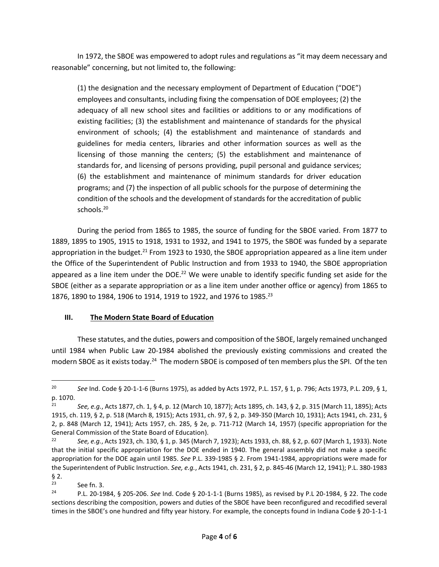In 1972, the SBOE was empowered to adopt rules and regulations as "it may deem necessary and reasonable" concerning, but not limited to, the following:

(1) the designation and the necessary employment of Department of Education ("DOE") employees and consultants, including fixing the compensation of DOE employees; (2) the adequacy of all new school sites and facilities or additions to or any modifications of existing facilities; (3) the establishment and maintenance of standards for the physical environment of schools; (4) the establishment and maintenance of standards and guidelines for media centers, libraries and other information sources as well as the licensing of those manning the centers; (5) the establishment and maintenance of standards for, and licensing of persons providing, pupil personal and guidance services; (6) the establishment and maintenance of minimum standards for driver education programs; and (7) the inspection of all public schools for the purpose of determining the condition of the schools and the development of standards for the accreditation of public schools. $20$ 

During the period from 1865 to 1985, the source of funding for the SBOE varied. From 1877 to 1889, 1895 to 1905, 1915 to 1918, 1931 to 1932, and 1941 to 1975, the SBOE was funded by a separate appropriation in the budget.<sup>21</sup> From 1923 to 1930, the SBOE appropriation appeared as a line item under the Office of the Superintendent of Public Instruction and from 1933 to 1940, the SBOE appropriation appeared as a line item under the DOE.<sup>22</sup> We were unable to identify specific funding set aside for the SBOE (either as a separate appropriation or as a line item under another office or agency) from 1865 to 1876, 1890 to 1984, 1906 to 1914, 1919 to 1922, and 1976 to 1985. 23

## **III. The Modern State Board of Education**

These statutes, and the duties, powers and composition of the SBOE, largely remained unchanged until 1984 when Public Law 20-1984 abolished the previously existing commissions and created the modern SBOE as it exists today.<sup>24</sup> The modern SBOE is composed of ten members plus the SPI. Of the ten

<sup>20</sup> *See* Ind. Code § 20-1-1-6 (Burns 1975), as added by Acts 1972, P.L. 157, § 1, p. 796; Acts 1973, P.L. 209, § 1, p. 1070.

<sup>21</sup> *See, e.g.*, Acts 1877, ch. 1, § 4, p. 12 (March 10, 1877); Acts 1895, ch. 143, § 2, p. 315 (March 11, 1895); Acts 1915, ch. 119, § 2, p. 518 (March 8, 1915); Acts 1931, ch. 97, § 2, p. 349-350 (March 10, 1931); Acts 1941, ch. 231, § 2, p. 848 (March 12, 1941); Acts 1957, ch. 285, § 2e, p. 711-712 (March 14, 1957) (specific appropriation for the General Commission of the State Board of Education).<br><sup>22</sup> See e.g. Acts 1923, ch. 130, 6.1, n. 345 (Marc)

<sup>22</sup> *See, e.g.*, Acts 1923, ch. 130, § 1, p. 345 (March 7, 1923); Acts 1933, ch. 88, § 2, p. 607 (March 1, 1933). Note that the initial specific appropriation for the DOE ended in 1940. The general assembly did not make a specific appropriation for the DOE again until 1985. *See* P.L. 339-1985 § 2. From 1941-1984, appropriations were made for the Superintendent of Public Instruction. *See, e.g.*, Acts 1941, ch. 231, § 2, p. 845-46 (March 12, 1941); P.L. 380-1983  $\frac{6}{23}$ .

 $\frac{23}{24}$  See fn. 3.

<sup>24</sup> P.L. 20-1984, § 205-206. *See* Ind. Code § 20-1-1-1 (Burns 1985), as revised by P.L 20-1984, § 22. The code sections describing the composition, powers and duties of the SBOE have been reconfigured and recodified several times in the SBOE's one hundred and fifty year history. For example, the concepts found in Indiana Code § 20-1-1-1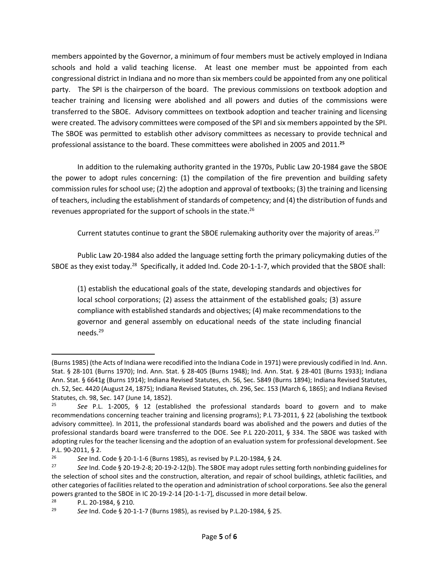members appointed by the Governor, a minimum of four members must be actively employed in Indiana schools and hold a valid teaching license. At least one member must be appointed from each congressional district in Indiana and no more than six members could be appointed from any one political party. The SPI is the chairperson of the board. The previous commissions on textbook adoption and teacher training and licensing were abolished and all powers and duties of the commissions were transferred to the SBOE. Advisory committees on textbook adoption and teacher training and licensing were created. The advisory committees were composed of the SPI and six members appointed by the SPI. The SBOE was permitted to establish other advisory committees as necessary to provide technical and professional assistance to the board. These committees were abolished in 2005 and 2011.**<sup>25</sup>**

In addition to the rulemaking authority granted in the 1970s, Public Law 20-1984 gave the SBOE the power to adopt rules concerning: (1) the compilation of the fire prevention and building safety commission rules for school use; (2) the adoption and approval of textbooks; (3) the training and licensing of teachers, including the establishment of standards of competency; and (4) the distribution of funds and revenues appropriated for the support of schools in the state.<sup>26</sup>

Current statutes continue to grant the SBOE rulemaking authority over the majority of areas.<sup>27</sup>

Public Law 20-1984 also added the language setting forth the primary policymaking duties of the SBOE as they exist today.<sup>28</sup> Specifically, it added Ind. Code 20-1-1-7, which provided that the SBOE shall:

(1) establish the educational goals of the state, developing standards and objectives for local school corporations; (2) assess the attainment of the established goals; (3) assure compliance with established standards and objectives; (4) make recommendations to the governor and general assembly on educational needs of the state including financial needs.<sup>29</sup>

l

<sup>(</sup>Burns 1985) (the Acts of Indiana were recodified into the Indiana Code in 1971) were previously codified in Ind. Ann. Stat. § 28-101 (Burns 1970); Ind. Ann. Stat. § 28-405 (Burns 1948); Ind. Ann. Stat. § 28-401 (Burns 1933); Indiana Ann. Stat. § 6641g (Burns 1914); Indiana Revised Statutes, ch. 56, Sec. 5849 (Burns 1894); Indiana Revised Statutes, ch. 52, Sec. 4420 (August 24, 1875); Indiana Revised Statutes, ch. 296, Sec. 153 (March 6, 1865); and Indiana Revised Statutes, ch. 98, Sec. 147 (June 14, 1852).<br><sup>25</sup> See P.L. 1-2005 6 12 (estab

<sup>25</sup> *See* P.L. 1-2005, § 12 (established the professional standards board to govern and to make recommendations concerning teacher training and licensing programs); P.L 73-2011, § 22 (abolishing the textbook advisory committee). In 2011, the professional standards board was abolished and the powers and duties of the professional standards board were transferred to the DOE. See P.L 220-2011, § 334. The SBOE was tasked with adopting rules for the teacher licensing and the adoption of an evaluation system for professional development. See P.L. 90-2011, § 2.

<sup>26</sup> *See* Ind. Code § 20-1-1-6 (Burns 1985), as revised by P.L.20-1984, § 24.

<sup>27</sup> *See* Ind. Code § 20-19-2-8; 20-19-2-12(b). The SBOE may adopt rules setting forth nonbinding guidelines for the selection of school sites and the construction, alteration, and repair of school buildings, athletic facilities, and other categories of facilities related to the operation and administration of school corporations. See also the general powers granted to the SBOE in IC 20-19-2-14 [20-1-1-7], discussed in more detail below.<br><sup>28</sup> P | 20-1984 6 210

<sup>28</sup> P.L. 20-1984, § 210.

<sup>29</sup> *See* Ind. Code § 20-1-1-7 (Burns 1985), as revised by P.L.20-1984, § 25.